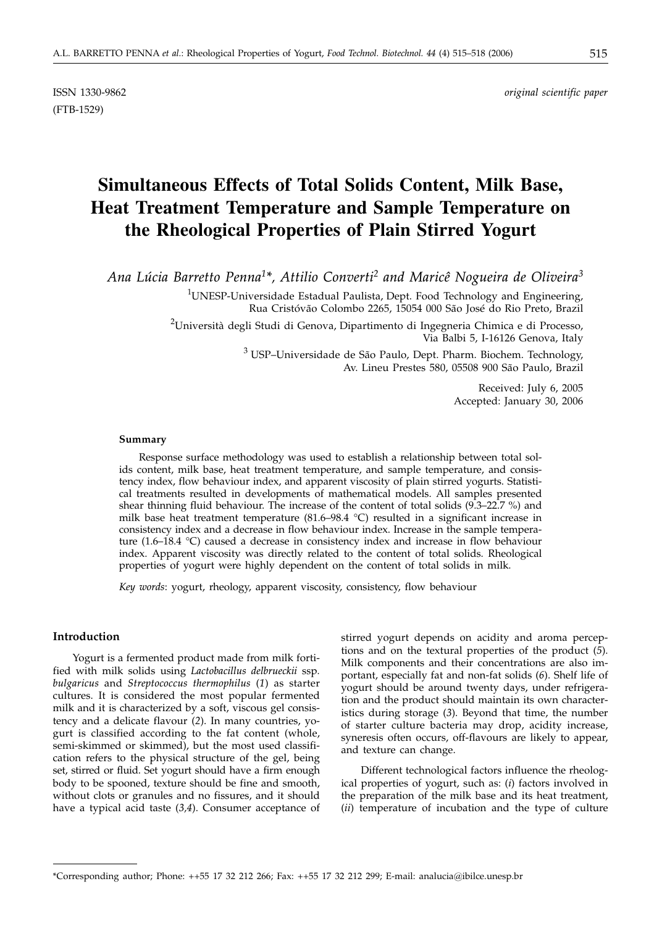(FTB-1529)

ISSN 1330-9862 *original scientific paper*

# **Simultaneous Effects of Total Solids Content, Milk Base, Heat Treatment Temperature and Sample Temperature on the Rheological Properties of Plain Stirred Yogurt**

*Ana Lúcia Barretto Penna1\*, Attilio Converti2 and Maricê Nogueira de Oliveira3*

 $^{1}$ UNESP-Universidade Estadual Paulista, Dept. Food Technology and Engineering, Rua Cristóvão Colombo 2265, 15054 000 São José do Rio Preto, Brazil

 $^2$ Università degli Studi di Genova, Dipartimento di Ingegneria Chimica e di Processo, Via Balbi 5, I-16126 Genova, Italy

> <sup>3</sup> USP–Universidade de São Paulo, Dept. Pharm. Biochem. Technology, Av. Lineu Prestes 580, 05508 900 São Paulo, Brazil

> > Received: July 6, 2005 Accepted: January 30, 2006

#### **Summary**

Response surface methodology was used to establish a relationship between total solids content, milk base, heat treatment temperature, and sample temperature, and consistency index, flow behaviour index, and apparent viscosity of plain stirred yogurts. Statistical treatments resulted in developments of mathematical models. All samples presented shear thinning fluid behaviour. The increase of the content of total solids (9.3–22.7 %) and milk base heat treatment temperature (81.6–98.4 °C) resulted in a significant increase in consistency index and a decrease in flow behaviour index. Increase in the sample temperature (1.6–18.4 °C) caused a decrease in consistency index and increase in flow behaviour index. Apparent viscosity was directly related to the content of total solids. Rheological properties of yogurt were highly dependent on the content of total solids in milk.

*Key words*: yogurt, rheology, apparent viscosity, consistency, flow behaviour

## **Introduction**

Yogurt is a fermented product made from milk fortified with milk solids using *Lactobacillus delbrueckii* ssp*. bulgaricus* and *Streptococcus thermophilus* (*1*) as starter cultures. It is considered the most popular fermented milk and it is characterized by a soft, viscous gel consistency and a delicate flavour (*2*). In many countries, yogurt is classified according to the fat content (whole, semi-skimmed or skimmed), but the most used classification refers to the physical structure of the gel, being set, stirred or fluid. Set yogurt should have a firm enough body to be spooned, texture should be fine and smooth, without clots or granules and no fissures, and it should have a typical acid taste (*3,4*). Consumer acceptance of stirred yogurt depends on acidity and aroma perceptions and on the textural properties of the product (*5*). Milk components and their concentrations are also important, especially fat and non-fat solids (*6*). Shelf life of yogurt should be around twenty days, under refrigeration and the product should maintain its own characteristics during storage (*3*). Beyond that time, the number of starter culture bacteria may drop, acidity increase, syneresis often occurs, off-flavours are likely to appear, and texture can change.

Different technological factors influence the rheological properties of yogurt, such as: (*i*) factors involved in the preparation of the milk base and its heat treatment, (*ii*) temperature of incubation and the type of culture

<sup>\*</sup>Corresponding author; Phone: ++55 17 32 212 266; Fax: ++55 17 32 212 299; E-mail: analucia*@*ibilce.unesp.br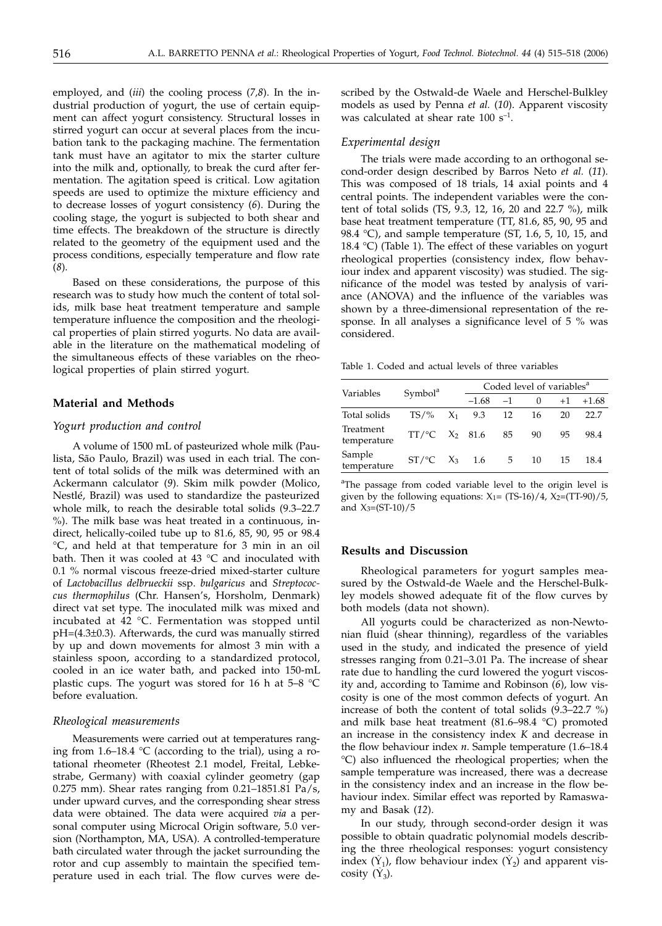employed, and (*iii*) the cooling process (*7,8*). In the industrial production of yogurt, the use of certain equipment can affect yogurt consistency. Structural losses in stirred yogurt can occur at several places from the incubation tank to the packaging machine. The fermentation tank must have an agitator to mix the starter culture into the milk and, optionally, to break the curd after fermentation. The agitation speed is critical. Low agitation speeds are used to optimize the mixture efficiency and to decrease losses of yogurt consistency (*6*). During the cooling stage, the yogurt is subjected to both shear and time effects. The breakdown of the structure is directly related to the geometry of the equipment used and the process conditions, especially temperature and flow rate (*8*).

Based on these considerations, the purpose of this research was to study how much the content of total solids, milk base heat treatment temperature and sample temperature influence the composition and the rheological properties of plain stirred yogurts. No data are available in the literature on the mathematical modeling of the simultaneous effects of these variables on the rheological properties of plain stirred yogurt.

#### **Material and Methods**

## *Yogurt production and control*

A volume of 1500 mL of pasteurized whole milk (Paulista, São Paulo, Brazil) was used in each trial. The content of total solids of the milk was determined with an Ackermann calculator (*9*). Skim milk powder (Molico, Nestlé, Brazil) was used to standardize the pasteurized whole milk, to reach the desirable total solids (9.3–22.7 %). The milk base was heat treated in a continuous, indirect, helically-coiled tube up to 81.6, 85, 90, 95 or 98.4 °C, and held at that temperature for 3 min in an oil bath. Then it was cooled at 43 °C and inoculated with 0.1 % normal viscous freeze-dried mixed-starter culture of *Lactobacillus delbrueckii* ssp. *bulgaricus* and *Streptococcus thermophilus* (Chr. Hansen's, Horsholm, Denmark) direct vat set type. The inoculated milk was mixed and incubated at 42 °C. Fermentation was stopped until pH=(4.3±0.3). Afterwards, the curd was manually stirred by up and down movements for almost 3 min with a stainless spoon, according to a standardized protocol, cooled in an ice water bath, and packed into 150-mL plastic cups. The yogurt was stored for 16 h at 5–8 °C before evaluation.

#### *Rheological measurements*

Measurements were carried out at temperatures ranging from 1.6–18.4 °C (according to the trial), using a rotational rheometer (Rheotest 2.1 model, Freital, Lebkestrabe, Germany) with coaxial cylinder geometry (gap 0.275 mm). Shear rates ranging from 0.21–1851.81 Pa/s, under upward curves, and the corresponding shear stress data were obtained. The data were acquired *via* a personal computer using Microcal Origin software, 5.0 version (Northampton, MA, USA). A controlled-temperature bath circulated water through the jacket surrounding the rotor and cup assembly to maintain the specified temperature used in each trial. The flow curves were described by the Ostwald-de Waele and Herschel-Bulkley models as used by Penna *et al.* (*10*). Apparent viscosity was calculated at shear rate  $100 s^{-1}$ .

## *Experimental design*

The trials were made according to an orthogonal second-order design described by Barros Neto *et al.* (*11*). This was composed of 18 trials, 14 axial points and 4 central points. The independent variables were the content of total solids (TS, 9.3, 12, 16, 20 and 22.7 %), milk base heat treatment temperature (TT, 81.6, 85, 90, 95 and 98.4 °C), and sample temperature (ST, 1.6, 5, 10, 15, and 18.4 °C) (Table 1). The effect of these variables on yogurt rheological properties (consistency index, flow behaviour index and apparent viscosity) was studied. The significance of the model was tested by analysis of variance (ANOVA) and the influence of the variables was shown by a three-dimensional representation of the response. In all analyses a significance level of 5 % was considered.

Table 1. Coded and actual levels of three variables

| Variables                |                               | Coded level of variables <sup>a</sup> |      |    |      |         |
|--------------------------|-------------------------------|---------------------------------------|------|----|------|---------|
|                          | Symbol <sup>a</sup>           | $-1.68$                               | $-1$ |    | $+1$ | $+1.68$ |
| Total solids             | $TS/$ %                       | $X_1$ 9.3                             | 12   | 16 | 20   | 22.7    |
| Treatment<br>temperature | $TT/\textdegree C$ $X_2$ 81.6 |                                       | 85   | 90 | 95   | 98.4    |
| Sample<br>temperature    | $ST/\text{°C}$ $X_3$ 1.6      |                                       | 5    | 10 | 15   | 18.4    |

<sup>a</sup>The passage from coded variable level to the origin level is given by the following equations:  $X_1 = (TS-16)/4$ ,  $X_2 = (TT-90)/5$ , and  $X_3=(ST-10)/5$ 

#### **Results and Discussion**

Rheological parameters for yogurt samples measured by the Ostwald-de Waele and the Herschel-Bulkley models showed adequate fit of the flow curves by both models (data not shown).

All yogurts could be characterized as non-Newtonian fluid (shear thinning), regardless of the variables used in the study, and indicated the presence of yield stresses ranging from 0.21–3.01 Pa. The increase of shear rate due to handling the curd lowered the yogurt viscosity and, according to Tamime and Robinson (*6*), low viscosity is one of the most common defects of yogurt. An increase of both the content of total solids (9.3–22.7 %) and milk base heat treatment  $(81.6–98.4 °C)$  promoted an increase in the consistency index *K* and decrease in the flow behaviour index *n*. Sample temperature (1.6–18.4 °C) also influenced the rheological properties; when the sample temperature was increased, there was a decrease in the consistency index and an increase in the flow behaviour index. Similar effect was reported by Ramaswamy and Basak (*12*).

In our study, through second-order design it was possible to obtain quadratic polynomial models describing the three rheological responses: yogurt consistency index  $(\hat{Y}_1)$ , flow behaviour index  $(\hat{Y}_2)$  and apparent viscosity  $(\hat{Y}_3)$ .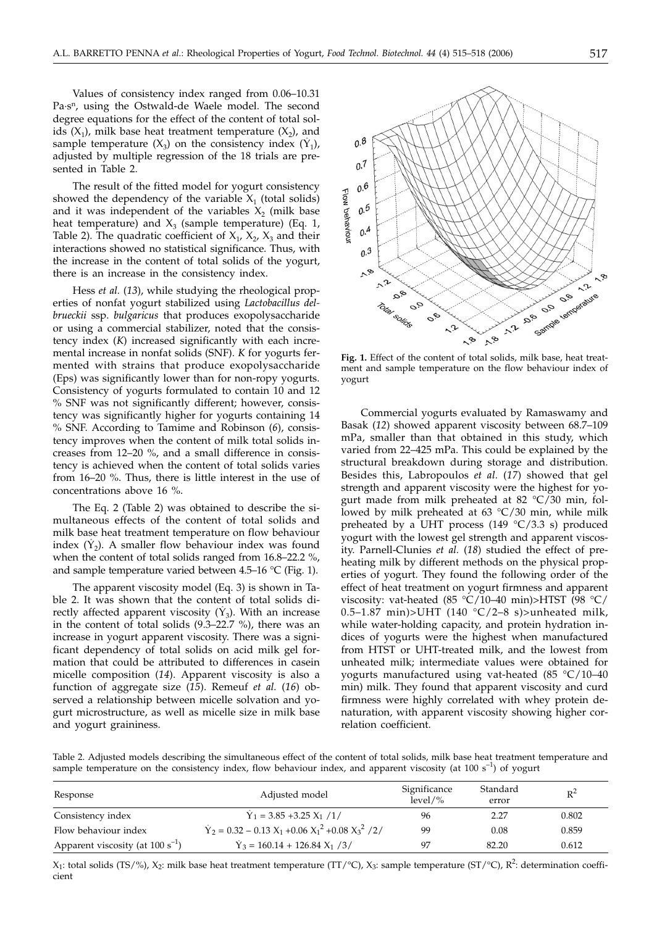Values of consistency index ranged from 0.06–10.31 Pa·s<sup>n</sup>, using the Ostwald-de Waele model. The second degree equations for the effect of the content of total solids  $(X_1)$ , milk base heat treatment temperature  $(X_2)$ , and sample temperature  $(X_3)$  on the consistency index  $(\hat{Y}_1)$ , adjusted by multiple regression of the 18 trials are presented in Table 2.

The result of the fitted model for yogurt consistency showed the dependency of the variable  $X_1$  (total solids) and it was independent of the variables  $X_2$  (milk base heat temperature) and  $X_3$  (sample temperature) (Eq. 1, Table 2). The quadratic coefficient of  $X_1$ ,  $X_2$ ,  $X_3$  and their interactions showed no statistical significance. Thus, with the increase in the content of total solids of the yogurt, there is an increase in the consistency index.

Hess *et al.* (*13*), while studying the rheological properties of nonfat yogurt stabilized using *Lactobacillus delbrueckii* ssp. *bulgaricus* that produces exopolysaccharide or using a commercial stabilizer, noted that the consistency index (*K*) increased significantly with each incremental increase in nonfat solids (SNF). *K* for yogurts fermented with strains that produce exopolysaccharide (Eps) was significantly lower than for non-ropy yogurts. Consistency of yogurts formulated to contain 10 and 12 % SNF was not significantly different; however, consistency was significantly higher for yogurts containing 14 % SNF. According to Tamime and Robinson (*6*), consistency improves when the content of milk total solids increases from 12–20 %, and a small difference in consistency is achieved when the content of total solids varies from 16–20 %. Thus, there is little interest in the use of concentrations above 16 %.

The Eq. 2 (Table 2) was obtained to describe the simultaneous effects of the content of total solids and milk base heat treatment temperature on flow behaviour index  $(\hat{Y}_2)$ . A smaller flow behaviour index was found when the content of total solids ranged from 16.8–22.2 %, and sample temperature varied between 4.5–16 °C (Fig. 1).

The apparent viscosity model (Eq. 3) is shown in Table 2. It was shown that the content of total solids directly affected apparent viscosity  $(\hat{Y}_3)$ . With an increase in the content of total solids (9.3–22.7 %), there was an increase in yogurt apparent viscosity. There was a significant dependency of total solids on acid milk gel formation that could be attributed to differences in casein micelle composition (*14*). Apparent viscosity is also a function of aggregate size (*15*). Remeuf *et al.* (*16*) observed a relationship between micelle solvation and yogurt microstructure, as well as micelle size in milk base and yogurt graininess.



**Fig. 1.** Effect of the content of total solids, milk base, heat treatment and sample temperature on the flow behaviour index of yogurt

Commercial yogurts evaluated by Ramaswamy and Basak (*12*) showed apparent viscosity between 68.7–109 mPa, smaller than that obtained in this study, which varied from 22–425 mPa. This could be explained by the structural breakdown during storage and distribution. Besides this, Labropoulos *et al.* (*17*) showed that gel strength and apparent viscosity were the highest for yogurt made from milk preheated at 82 °C/30 min, followed by milk preheated at 63 °C/30 min, while milk preheated by a UHT process (149  $°C/3.3 s)$  produced yogurt with the lowest gel strength and apparent viscosity. Parnell-Clunies *et al.* (*18*) studied the effect of preheating milk by different methods on the physical properties of yogurt. They found the following order of the effect of heat treatment on yogurt firmness and apparent viscosity: vat-heated (85 °C/10–40 min)>HTST (98 °C/ 0.5–1.87 min)>UHT (140  $°C/2-8$  s)>unheated milk, while water-holding capacity, and protein hydration indices of yogurts were the highest when manufactured from HTST or UHT-treated milk, and the lowest from unheated milk; intermediate values were obtained for yogurts manufactured using vat-heated (85 °C/10–40 min) milk. They found that apparent viscosity and curd firmness were highly correlated with whey protein denaturation, with apparent viscosity showing higher correlation coefficient.

Table 2. Adjusted models describing the simultaneous effect of the content of total solids, milk base heat treatment temperature and sample temperature on the consistency index, flow behaviour index, and apparent viscosity (at  $100 s<sup>-1</sup>$ ) of yogurt

| Response                              | Adjusted model                                              | Significance<br>$level\%$ | Standard<br>error | $R^2$ |
|---------------------------------------|-------------------------------------------------------------|---------------------------|-------------------|-------|
| Consistency index                     | $\hat{Y}_1 = 3.85 + 3.25 X_1 / 1/$                          | 96                        | 2.27              | 0.802 |
| Flow behaviour index                  | $\hat{Y}_2 = 0.32 - 0.13 X_1 + 0.06 X_1^2 + 0.08 X_3^2 / 2$ | 99                        | 0.08              | 0.859 |
| Apparent viscosity (at $100 s^{-1}$ ) | $\hat{Y}_3 = 160.14 + 126.84 X_1 / 3/$                      | 97                        | 82.20             | 0.612 |

 $X_1$ : total solids (TS/%),  $X_2$ : milk base heat treatment temperature (TT/°C),  $X_3$ : sample temperature (ST/°C),  $R^2$ : determination coefficient